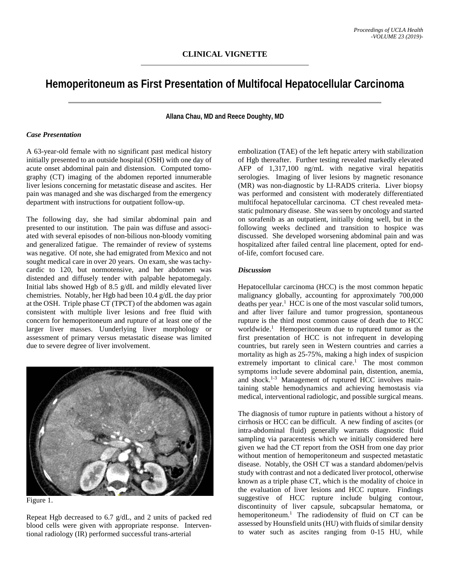## **Hemoperitoneum as First Presentation of Multifocal Hepatocellular Carcinoma**

**Allana Chau, MD and Reece Doughty, MD**

## *Case Presentation*

A 63-year-old female with no significant past medical history initially presented to an outside hospital (OSH) with one day of acute onset abdominal pain and distension. Computed tomography (CT) imaging of the abdomen reported innumerable liver lesions concerning for metastatic disease and ascites. Her pain was managed and she was discharged from the emergency department with instructions for outpatient follow-up.

The following day, she had similar abdominal pain and presented to our institution. The pain was diffuse and associated with several episodes of non-bilious non-bloody vomiting and generalized fatigue. The remainder of review of systems was negative. Of note, she had emigrated from Mexico and not sought medical care in over 20 years. On exam, she was tachycardic to 120, but normotensive, and her abdomen was distended and diffusely tender with palpable hepatomegaly. Initial labs showed Hgb of 8.5 g/dL and mildly elevated liver chemistries. Notably, her Hgb had been 10.4 g/dL the day prior at the OSH. Triple phase CT (TPCT) of the abdomen was again consistent with multiple liver lesions and free fluid with concern for hemoperitoneum and rupture of at least one of the larger liver masses. Uunderlying liver morphology or assessment of primary versus metastatic disease was limited due to severe degree of liver involvement.



Figure 1.

Repeat Hgb decreased to 6.7 g/dL, and 2 units of packed red blood cells were given with appropriate response. Interventional radiology (IR) performed successful trans-arterial

embolization (TAE) of the left hepatic artery with stabilization of Hgb thereafter. Further testing revealed markedly elevated AFP of 1,317,100 ng/mL with negative viral hepatitis serologies. Imaging of liver lesions by magnetic resonance (MR) was non-diagnostic by LI-RADS criteria. Liver biopsy was performed and consistent with moderately differentiated multifocal hepatocellular carcinoma. CT chest revealed metastatic pulmonary disease. She was seen by oncology and started on sorafenib as an outpatient, initially doing well, but in the following weeks declined and transition to hospice was discussed. She developed worsening abdominal pain and was hospitalized after failed central line placement, opted for endof-life, comfort focused care.

## *Discussion*

Hepatocellular carcinoma (HCC) is the most common hepatic malignancy globally, accounting for approximately 700,000 deaths per year.<sup>1</sup> HCC is one of the most vascular solid tumors, and after liver failure and tumor progression, spontaneous rupture is the third most common cause of death due to HCC worldwide.<sup>1</sup> Hemoperitoneum due to ruptured tumor as the first presentation of HCC is not infrequent in developing countries, but rarely seen in Western countries and carries a mortality as high as 25-75%, making a high index of suspicion extremely important to clinical care.<sup>1</sup> The most common symptoms include severe abdominal pain, distention, anemia, and shock.1-3 Management of ruptured HCC involves maintaining stable hemodynamics and achieving hemostasis via medical, interventional radiologic, and possible surgical means.

The diagnosis of tumor rupture in patients without a history of cirrhosis or HCC can be difficult. A new finding of ascites (or intra-abdominal fluid) generally warrants diagnostic fluid sampling via paracentesis which we initially considered here given we had the CT report from the OSH from one day prior without mention of hemoperitoneum and suspected metastatic disease. Notably, the OSH CT was a standard abdomen/pelvis study with contrast and not a dedicated liver protocol, otherwise known as a triple phase CT, which is the modality of choice in the evaluation of liver lesions and HCC rupture. Findings suggestive of HCC rupture include bulging contour, discontinuity of liver capsule, subcapsular hematoma, or hemoperitoneum.<sup>1</sup> The radiodensity of fluid on CT can be assessed by Hounsfield units(HU) with fluids of similar density to water such as ascites ranging from 0-15 HU, while